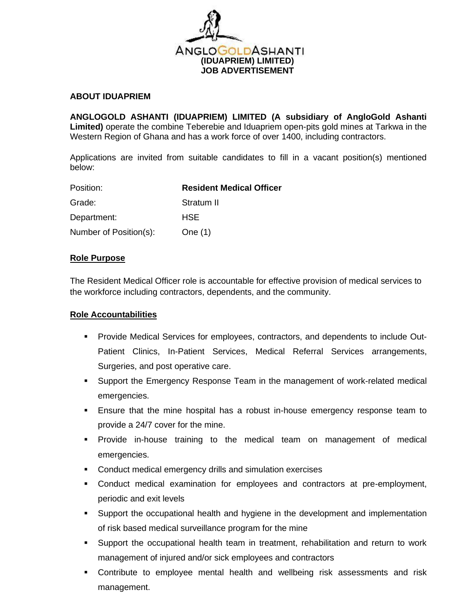

## **ABOUT IDUAPRIEM**

**ANGLOGOLD ASHANTI (IDUAPRIEM) LIMITED (A subsidiary of AngloGold Ashanti Limited)** operate the combine Teberebie and Iduapriem open-pits gold mines at Tarkwa in the Western Region of Ghana and has a work force of over 1400, including contractors.

Applications are invited from suitable candidates to fill in a vacant position(s) mentioned below:

| Position:              | <b>Resident Medical Officer</b> |
|------------------------|---------------------------------|
| Grade:                 | Stratum II                      |
| Department:            | <b>HSE</b>                      |
| Number of Position(s): | One $(1)$                       |

## **Role Purpose**

The Resident Medical Officer role is accountable for effective provision of medical services to the workforce including contractors, dependents, and the community.

#### **Role Accountabilities**

- Provide Medical Services for employees, contractors, and dependents to include Out-Patient Clinics, In-Patient Services, Medical Referral Services arrangements, Surgeries, and post operative care.
- Support the Emergency Response Team in the management of work-related medical emergencies.
- **Ensure that the mine hospital has a robust in-house emergency response team to** provide a 24/7 cover for the mine.
- **•** Provide in-house training to the medical team on management of medical emergencies.
- Conduct medical emergency drills and simulation exercises
- Conduct medical examination for employees and contractors at pre-employment, periodic and exit levels
- Support the occupational health and hygiene in the development and implementation of risk based medical surveillance program for the mine
- Support the occupational health team in treatment, rehabilitation and return to work management of injured and/or sick employees and contractors
- Contribute to employee mental health and wellbeing risk assessments and risk management.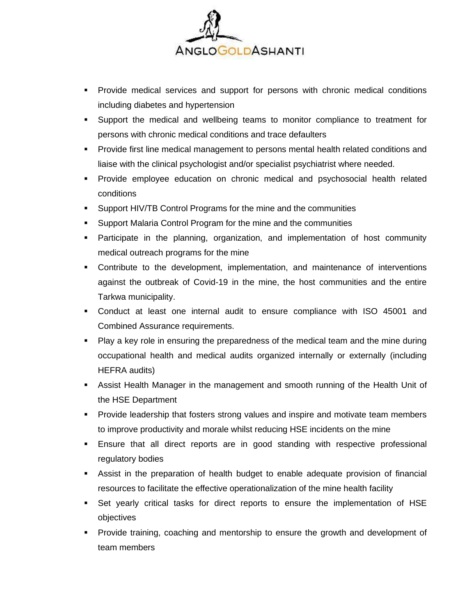

- Provide medical services and support for persons with chronic medical conditions including diabetes and hypertension
- Support the medical and wellbeing teams to monitor compliance to treatment for persons with chronic medical conditions and trace defaulters
- **Provide first line medical management to persons mental health related conditions and** liaise with the clinical psychologist and/or specialist psychiatrist where needed.
- Provide employee education on chronic medical and psychosocial health related conditions
- Support HIV/TB Control Programs for the mine and the communities
- Support Malaria Control Program for the mine and the communities
- Participate in the planning, organization, and implementation of host community medical outreach programs for the mine
- Contribute to the development, implementation, and maintenance of interventions against the outbreak of Covid-19 in the mine, the host communities and the entire Tarkwa municipality.
- Conduct at least one internal audit to ensure compliance with ISO 45001 and Combined Assurance requirements.
- Play a key role in ensuring the preparedness of the medical team and the mine during occupational health and medical audits organized internally or externally (including HEFRA audits)
- **EXE** Assist Health Manager in the management and smooth running of the Health Unit of the HSE Department
- **•** Provide leadership that fosters strong values and inspire and motivate team members to improve productivity and morale whilst reducing HSE incidents on the mine
- **Ensure that all direct reports are in good standing with respective professional** regulatory bodies
- **EXEL Assist in the preparation of health budget to enable adequate provision of financial** resources to facilitate the effective operationalization of the mine health facility
- Set yearly critical tasks for direct reports to ensure the implementation of HSE objectives
- Provide training, coaching and mentorship to ensure the growth and development of team members